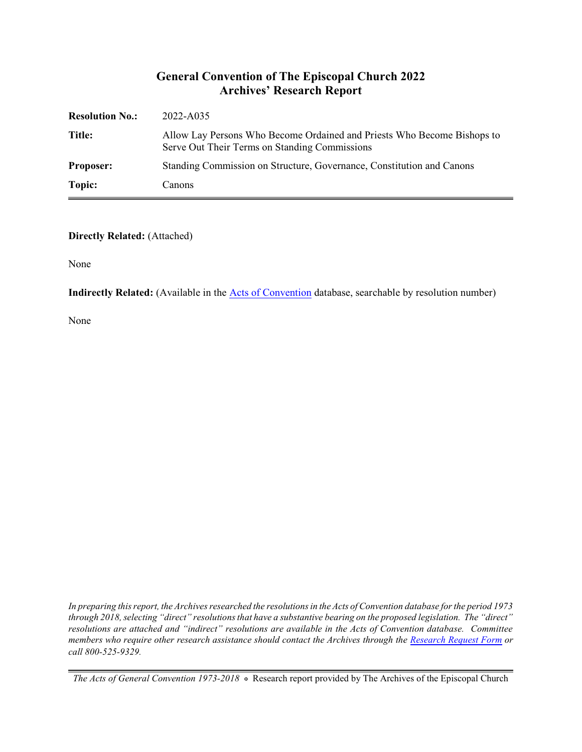## **General Convention of The Episcopal Church 2022 Archives' Research Report**

| <b>Resolution No.:</b> | 2022-A035                                                                                                                |
|------------------------|--------------------------------------------------------------------------------------------------------------------------|
| Title:                 | Allow Lay Persons Who Become Ordained and Priests Who Become Bishops to<br>Serve Out Their Terms on Standing Commissions |
| <b>Proposer:</b>       | Standing Commission on Structure, Governance, Constitution and Canons                                                    |
| Topic:                 | Canons                                                                                                                   |

#### **Directly Related:** (Attached)

None

**Indirectly Related:** (Available in the [Acts of Convention](https://www.episcopalarchives.org/e-archives/acts/) database, searchable by resolution number)

None

*In preparing this report, the Archives researched the resolutions in the Acts of Convention database for the period 1973 through 2018, selecting "direct" resolutions that have a substantive bearing on the proposed legislation. The "direct" resolutions are attached and "indirect" resolutions are available in the Acts of Convention database. Committee members who require other research assistance should contact the Archives through the Research [Request Form](https://www.episcopalarchives.org/contact/research-request-form) or call 800-525-9329.*

*The Acts of General Convention 1973-2018*  $*$  Research report provided by The Archives of the Episcopal Church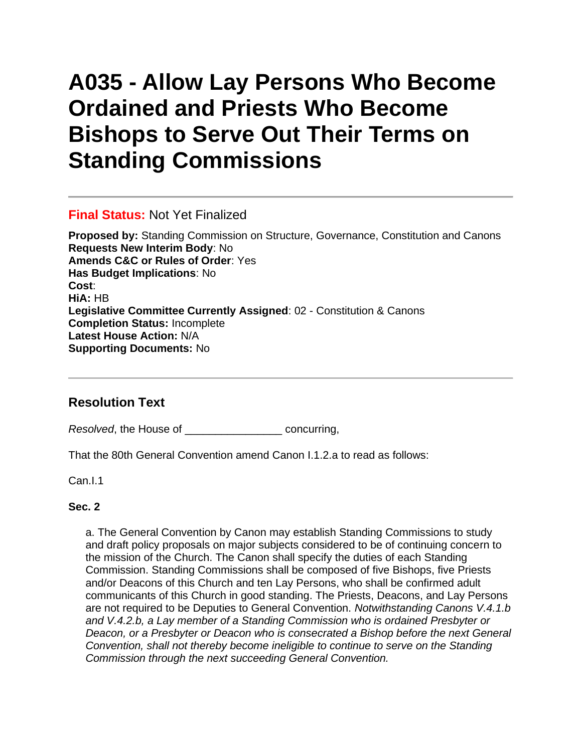# **A035 - Allow Lay Persons Who Become Ordained and Priests Who Become Bishops to Serve Out Their Terms on Standing Commissions**

#### **Final Status:** Not Yet Finalized

**Proposed by:** Standing Commission on Structure, Governance, Constitution and Canons **Requests New Interim Body**: No **Amends C&C or Rules of Order**: Yes **Has Budget Implications**: No **Cost**: **HiA:** HB **Legislative Committee Currently Assigned**: 02 - Constitution & Canons **Completion Status:** Incomplete **Latest House Action:** N/A **Supporting Documents:** No

## **Resolution Text**

*Resolved*, the House of \_\_\_\_\_\_\_\_\_\_\_\_\_\_\_\_ concurring,

That the 80th General Convention amend Canon I.1.2.a to read as follows:

Can.I.1

#### **Sec. 2**

a. The General Convention by Canon may establish Standing Commissions to study and draft policy proposals on major subjects considered to be of continuing concern to the mission of the Church. The Canon shall specify the duties of each Standing Commission. Standing Commissions shall be composed of five Bishops, five Priests and/or Deacons of this Church and ten Lay Persons, who shall be confirmed adult communicants of this Church in good standing. The Priests, Deacons, and Lay Persons are not required to be Deputies to General Convention. *Notwithstanding Canons V.4.1.b and V.4.2.b, a Lay member of a Standing Commission who is ordained Presbyter or Deacon, or a Presbyter or Deacon who is consecrated a Bishop before the next General Convention, shall not thereby become ineligible to continue to serve on the Standing Commission through the next succeeding General Convention.*